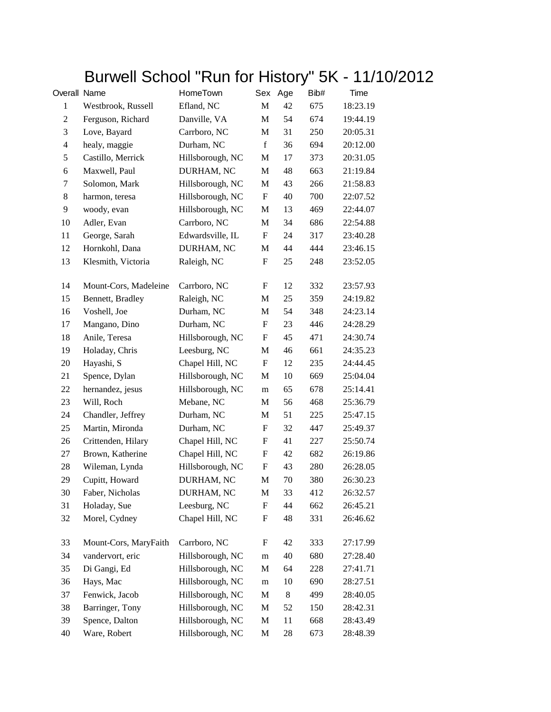## Burwell School "Run for History" 5K - 11/10/2012

| Overall Name   |                       | HomeTown         | Sex          | Age            | Bib# | Time     |
|----------------|-----------------------|------------------|--------------|----------------|------|----------|
| $\mathbf{1}$   | Westbrook, Russell    | Efland, NC       | $\mathbf{M}$ | 42             | 675  | 18:23.19 |
| $\overline{c}$ | Ferguson, Richard     | Danville, VA     | M            | 54             | 674  | 19:44.19 |
| 3              | Love, Bayard          | Carrboro, NC     | М            | 31             | 250  | 20:05.31 |
| $\overline{4}$ | healy, maggie         | Durham, NC       | f            | 36             | 694  | 20:12.00 |
| 5              | Castillo, Merrick     | Hillsborough, NC | M            | 17             | 373  | 20:31.05 |
| 6              | Maxwell, Paul         | DURHAM, NC       | M            | 48             | 663  | 21:19.84 |
| 7              | Solomon, Mark         | Hillsborough, NC | M            | 43             | 266  | 21:58.83 |
| 8              | harmon, teresa        | Hillsborough, NC | F            | 40             | 700  | 22:07.52 |
| 9              | woody, evan           | Hillsborough, NC | M            | 13             | 469  | 22:44.07 |
| 10             | Adler, Evan           | Carrboro, NC     | M            | 34             | 686  | 22:54.88 |
| 11             | George, Sarah         | Edwardsville, IL | ${\rm F}$    | 24             | 317  | 23:40.28 |
| 12             | Hornkohl, Dana        | DURHAM, NC       | M            | 44             | 444  | 23:46.15 |
| 13             | Klesmith, Victoria    | Raleigh, NC      | F            | 25             | 248  | 23:52.05 |
| 14             | Mount-Cors, Madeleine | Carrboro, NC     | F            | 12             | 332  | 23:57.93 |
| 15             | Bennett, Bradley      | Raleigh, NC      | M            | 25             | 359  | 24:19.82 |
| 16             | Voshell, Joe          | Durham, NC       | M            | 54             | 348  | 24:23.14 |
| 17             | Mangano, Dino         | Durham, NC       | F            | 23             | 446  | 24:28.29 |
| 18             | Anile, Teresa         | Hillsborough, NC | $\mathbf F$  | 45             | 471  | 24:30.74 |
| 19             | Holaday, Chris        | Leesburg, NC     | M            | 46             | 661  | 24:35.23 |
| 20             | Hayashi, S            | Chapel Hill, NC  | ${\rm F}$    | 12             | 235  | 24:44.45 |
| 21             | Spence, Dylan         | Hillsborough, NC | M            | 10             | 669  | 25:04.04 |
| 22             | hernandez, jesus      | Hillsborough, NC | m            | 65             | 678  | 25:14.41 |
| 23             | Will, Roch            | Mebane, NC       | $\mathbf M$  | 56             | 468  | 25:36.79 |
| 24             | Chandler, Jeffrey     | Durham, NC       | М            | 51             | 225  | 25:47.15 |
| 25             | Martin, Mironda       | Durham, NC       | F            | 32             | 447  | 25:49.37 |
| 26             | Crittenden, Hilary    | Chapel Hill, NC  | F            | 41             | 227  | 25:50.74 |
| 27             | Brown, Katherine      | Chapel Hill, NC  | F            | 42             | 682  | 26:19.86 |
| 28             | Wileman, Lynda        | Hillsborough, NC | $\mathbf F$  | 43             | 280  | 26:28.05 |
| 29             | Cupitt, Howard        | DURHAM, NC       | M            | 70             | 380  | 26:30.23 |
| 30             | Faber, Nicholas       | DURHAM, NC       | $\mathbf M$  | 33             | 412  | 26:32.57 |
| 31             | Holaday, Sue          | Leesburg, NC     | ${\rm F}$    | 44             | 662  | 26:45.21 |
| 32             | Morel, Cydney         | Chapel Hill, NC  | F            | 48             | 331  | 26:46.62 |
| 33             | Mount-Cors, MaryFaith | Carrboro, NC     | ${\rm F}$    | 42             | 333  | 27:17.99 |
| 34             | vandervort, eric      | Hillsborough, NC | m            | 40             | 680  | 27:28.40 |
| 35             | Di Gangi, Ed          | Hillsborough, NC | M            | 64             | 228  | 27:41.71 |
| 36             | Hays, Mac             | Hillsborough, NC | ${\rm m}$    | 10             | 690  | 28:27.51 |
| 37             | Fenwick, Jacob        | Hillsborough, NC | M            | $8\phantom{1}$ | 499  | 28:40.05 |
| 38             | Barringer, Tony       | Hillsborough, NC | M            | 52             | 150  | 28:42.31 |
| 39             | Spence, Dalton        | Hillsborough, NC | M            | 11             | 668  | 28:43.49 |
| 40             | Ware, Robert          | Hillsborough, NC | M            | 28             | 673  | 28:48.39 |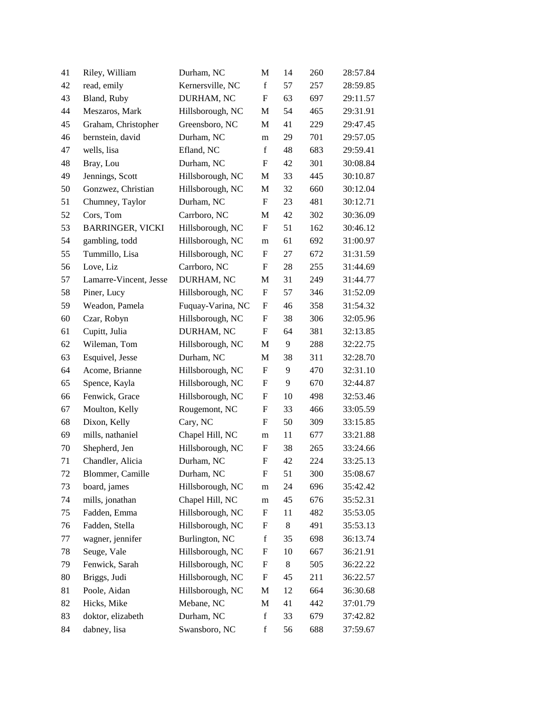| 41 | Riley, William          | Durham, NC        | M                         | 14 | 260 | 28:57.84 |
|----|-------------------------|-------------------|---------------------------|----|-----|----------|
| 42 | read, emily             | Kernersville, NC  | $\mathbf f$               | 57 | 257 | 28:59.85 |
| 43 | Bland, Ruby             | DURHAM, NC        | $\mathbf{F}$              | 63 | 697 | 29:11.57 |
| 44 | Meszaros, Mark          | Hillsborough, NC  | М                         | 54 | 465 | 29:31.91 |
| 45 | Graham, Christopher     | Greensboro, NC    | M                         | 41 | 229 | 29:47.45 |
| 46 | bernstein, david        | Durham, NC        | m                         | 29 | 701 | 29:57.05 |
| 47 | wells, lisa             | Efland, NC        | f                         | 48 | 683 | 29:59.41 |
| 48 | Bray, Lou               | Durham, NC        | $\mathbf F$               | 42 | 301 | 30:08.84 |
| 49 | Jennings, Scott         | Hillsborough, NC  | М                         | 33 | 445 | 30:10.87 |
| 50 | Gonzwez, Christian      | Hillsborough, NC  | M                         | 32 | 660 | 30:12.04 |
| 51 | Chumney, Taylor         | Durham, NC        | $\boldsymbol{\mathrm{F}}$ | 23 | 481 | 30:12.71 |
| 52 | Cors, Tom               | Carrboro, NC      | M                         | 42 | 302 | 30:36.09 |
| 53 | <b>BARRINGER, VICKI</b> | Hillsborough, NC  | $\boldsymbol{\mathrm{F}}$ | 51 | 162 | 30:46.12 |
| 54 | gambling, todd          | Hillsborough, NC  | m                         | 61 | 692 | 31:00.97 |
| 55 | Tummillo, Lisa          | Hillsborough, NC  | F                         | 27 | 672 | 31:31.59 |
| 56 | Love, Liz               | Carrboro, NC      | F                         | 28 | 255 | 31:44.69 |
| 57 | Lamarre-Vincent, Jesse  | DURHAM, NC        | M                         | 31 | 249 | 31:44.77 |
| 58 | Piner, Lucy             | Hillsborough, NC  | $\boldsymbol{\mathrm{F}}$ | 57 | 346 | 31:52.09 |
| 59 | Weadon, Pamela          | Fuquay-Varina, NC | F                         | 46 | 358 | 31:54.32 |
| 60 | Czar, Robyn             | Hillsborough, NC  | F                         | 38 | 306 | 32:05.96 |
| 61 | Cupitt, Julia           | DURHAM, NC        | $\boldsymbol{\mathrm{F}}$ | 64 | 381 | 32:13.85 |
| 62 | Wileman, Tom            | Hillsborough, NC  | M                         | 9  | 288 | 32:22.75 |
| 63 | Esquivel, Jesse         | Durham, NC        | M                         | 38 | 311 | 32:28.70 |
| 64 | Acome, Brianne          | Hillsborough, NC  | F                         | 9  | 470 | 32:31.10 |
| 65 | Spence, Kayla           | Hillsborough, NC  | F                         | 9  | 670 | 32:44.87 |
| 66 | Fenwick, Grace          | Hillsborough, NC  | $\boldsymbol{\mathrm{F}}$ | 10 | 498 | 32:53.46 |
| 67 | Moulton, Kelly          | Rougemont, NC     | F                         | 33 | 466 | 33:05.59 |
| 68 | Dixon, Kelly            | Cary, NC          | F                         | 50 | 309 | 33:15.85 |
| 69 | mills, nathaniel        | Chapel Hill, NC   | m                         | 11 | 677 | 33:21.88 |
| 70 | Shepherd, Jen           | Hillsborough, NC  | F                         | 38 | 265 | 33:24.66 |
| 71 | Chandler, Alicia        | Durham, NC        | F                         | 42 | 224 | 33:25.13 |
| 72 | Blommer, Camille        | Durham, NC        | F                         | 51 | 300 | 35:08.67 |
| 73 | board, james            | Hillsborough, NC  | m                         | 24 | 696 | 35:42.42 |
| 74 | mills, jonathan         | Chapel Hill, NC   | m                         | 45 | 676 | 35:52.31 |
| 75 | Fadden, Emma            | Hillsborough, NC  | ${\bf F}$                 | 11 | 482 | 35:53.05 |
| 76 | Fadden, Stella          | Hillsborough, NC  | $\boldsymbol{F}$          | 8  | 491 | 35:53.13 |
| 77 | wagner, jennifer        | Burlington, NC    | $\mathbf f$               | 35 | 698 | 36:13.74 |
| 78 | Seuge, Vale             | Hillsborough, NC  | F                         | 10 | 667 | 36:21.91 |
| 79 | Fenwick, Sarah          | Hillsborough, NC  | $\boldsymbol{F}$          | 8  | 505 | 36:22.22 |
| 80 | Briggs, Judi            | Hillsborough, NC  | $\boldsymbol{\mathrm{F}}$ | 45 | 211 | 36:22.57 |
| 81 | Poole, Aidan            | Hillsborough, NC  | M                         | 12 | 664 | 36:30.68 |
| 82 | Hicks, Mike             | Mebane, NC        | M                         | 41 | 442 | 37:01.79 |
| 83 | doktor, elizabeth       | Durham, NC        | $\mathbf f$               | 33 | 679 | 37:42.82 |
| 84 | dabney, lisa            | Swansboro, NC     | $\mathbf f$               | 56 | 688 | 37:59.67 |